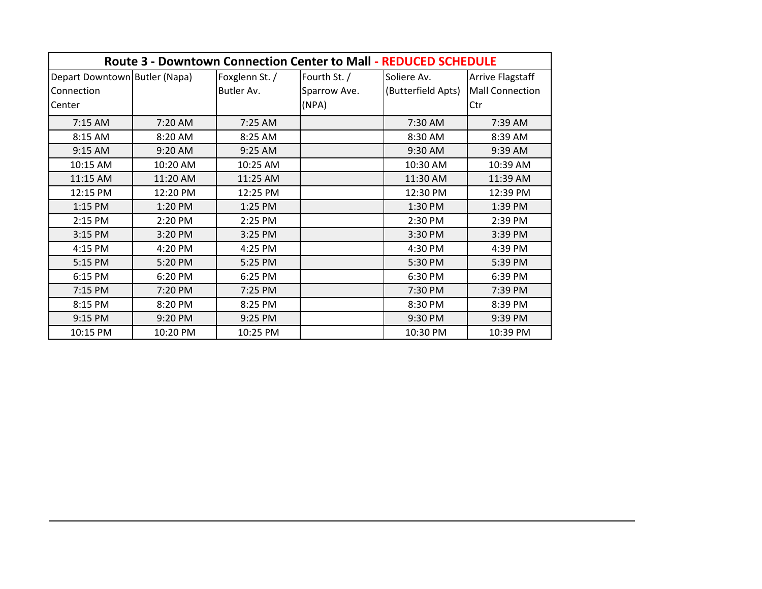| <b>Route 3 - Downtown Connection Center to Mall - REDUCED SCHEDULE</b> |          |                |              |                    |                         |  |  |  |  |
|------------------------------------------------------------------------|----------|----------------|--------------|--------------------|-------------------------|--|--|--|--|
| Depart Downtown Butler (Napa)                                          |          | Foxglenn St. / | Fourth St. / | Soliere Av.        | <b>Arrive Flagstaff</b> |  |  |  |  |
| Connection                                                             |          | Butler Av.     | Sparrow Ave. | (Butterfield Apts) | <b>Mall Connection</b>  |  |  |  |  |
| Center                                                                 |          |                | (NPA)        |                    | Ctr                     |  |  |  |  |
| 7:15 AM                                                                | 7:20 AM  | 7:25 AM        |              | 7:30 AM            | 7:39 AM                 |  |  |  |  |
| 8:15 AM                                                                | 8:20 AM  | 8:25 AM        |              | 8:30 AM            | 8:39 AM                 |  |  |  |  |
| 9:15 AM                                                                | 9:20 AM  | 9:25 AM        |              | 9:30 AM            | 9:39 AM                 |  |  |  |  |
| 10:15 AM                                                               | 10:20 AM | 10:25 AM       |              | 10:30 AM           | 10:39 AM                |  |  |  |  |
| 11:15 AM                                                               | 11:20 AM | 11:25 AM       |              | 11:30 AM           | 11:39 AM                |  |  |  |  |
| 12:15 PM                                                               | 12:20 PM | 12:25 PM       |              | 12:30 PM           | 12:39 PM                |  |  |  |  |
| 1:15 PM                                                                | 1:20 PM  | 1:25 PM        |              | 1:30 PM            | 1:39 PM                 |  |  |  |  |
| 2:15 PM                                                                | 2:20 PM  | 2:25 PM        |              | 2:30 PM            | 2:39 PM                 |  |  |  |  |
| 3:15 PM                                                                | 3:20 PM  | 3:25 PM        |              | 3:30 PM            | 3:39 PM                 |  |  |  |  |
| 4:15 PM                                                                | 4:20 PM  | 4:25 PM        |              | 4:30 PM            | 4:39 PM                 |  |  |  |  |
| 5:15 PM                                                                | 5:20 PM  | 5:25 PM        |              | 5:30 PM            | 5:39 PM                 |  |  |  |  |
| 6:15 PM                                                                | 6:20 PM  | 6:25 PM        |              | 6:30 PM            | 6:39 PM                 |  |  |  |  |
| 7:15 PM                                                                | 7:20 PM  | 7:25 PM        |              | 7:30 PM            | 7:39 PM                 |  |  |  |  |
| 8:15 PM                                                                | 8:20 PM  | 8:25 PM        |              | 8:30 PM            | 8:39 PM                 |  |  |  |  |
| 9:15 PM                                                                | 9:20 PM  | 9:25 PM        |              | 9:30 PM            | 9:39 PM                 |  |  |  |  |
| 10:15 PM                                                               | 10:20 PM | 10:25 PM       |              | 10:30 PM           | 10:39 PM                |  |  |  |  |